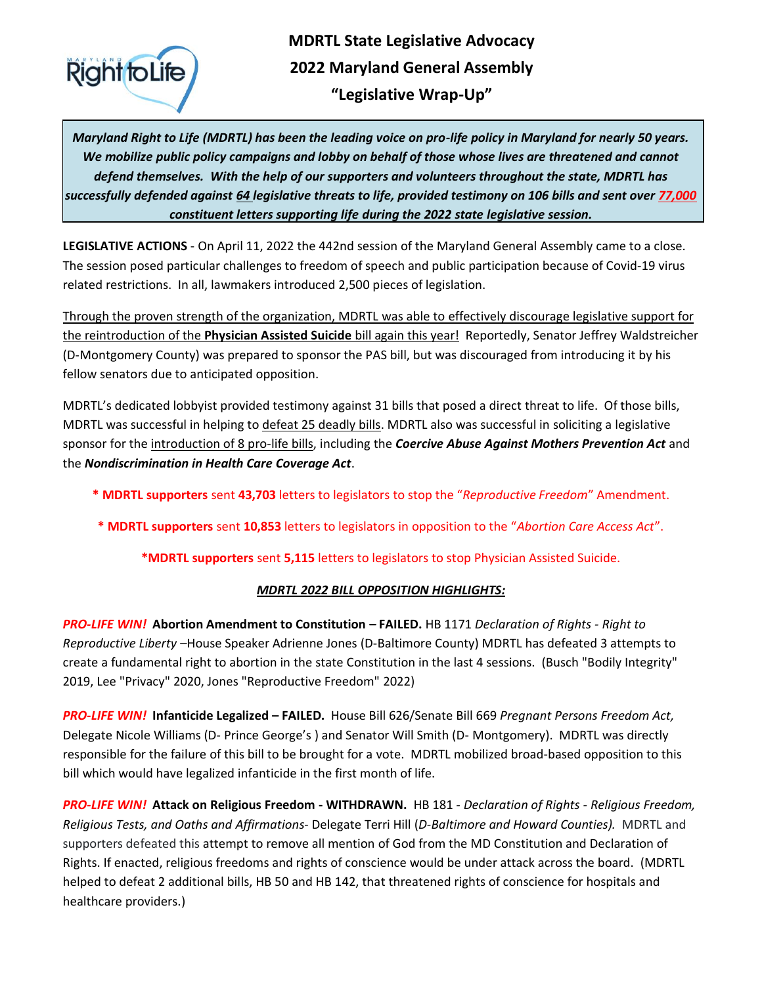

# **MDRTL State Legislative Advocacy 2022 Maryland General Assembly "Legislative Wrap-Up"**

*Maryland Right to Life (MDRTL) has been the leading voice on pro-life policy in Maryland for nearly 50 years. We mobilize public policy campaigns and lobby on behalf of those whose lives are threatened and cannot defend themselves. With the help of our supporters and volunteers throughout the state, MDRTL has successfully defended against 64 legislative threats to life, provided testimony on 106 bills and sent over 77,000 constituent letters supporting life during the 2022 state legislative session.* 

**LEGISLATIVE ACTIONS** - On April 11, 2022 the 442nd session of the Maryland General Assembly came to a close. The session posed particular challenges to freedom of speech and public participation because of Covid-19 virus related restrictions. In all, lawmakers introduced 2,500 pieces of legislation.

Through the proven strength of the organization, MDRTL was able to effectively discourage legislative support for the reintroduction of the **Physician Assisted Suicide** bill again this year! Reportedly, Senator Jeffrey Waldstreicher (D-Montgomery County) was prepared to sponsor the PAS bill, but was discouraged from introducing it by his fellow senators due to anticipated opposition.

MDRTL's dedicated lobbyist provided testimony against 31 bills that posed a direct threat to life. Of those bills, MDRTL was successful in helping to defeat 25 deadly bills. MDRTL also was successful in soliciting a legislative sponsor for the introduction of 8 pro-life bills, including the *Coercive Abuse Against Mothers Prevention Act* and the *Nondiscrimination in Health Care Coverage Act*.

- **\* MDRTL supporters** sent **43,703** letters to legislators to stop the "*Reproductive Freedom*" Amendment.
- **\* MDRTL supporters** sent **10,853** letters to legislators in opposition to the "*Abortion Care Access Act*".

**\*MDRTL supporters** sent **5,115** letters to legislators to stop Physician Assisted Suicide.

## *MDRTL 2022 BILL OPPOSITION HIGHLIGHTS:*

*PRO-LIFE WIN!* **Abortion Amendment to Constitution – FAILED.** HB 1171 *Declaration of Rights - Right to Reproductive Liberty –*House Speaker Adrienne Jones (D-Baltimore County) MDRTL has defeated 3 attempts to create a fundamental right to abortion in the state Constitution in the last 4 sessions. (Busch "Bodily Integrity" 2019, Lee "Privacy" 2020, Jones "Reproductive Freedom" 2022)

*PRO-LIFE WIN!* **Infanticide Legalized – FAILED.** House Bill 626/Senate Bill 669 *Pregnant Persons Freedom Act,* Delegate Nicole Williams (D- Prince George's ) and Senator Will Smith (D- Montgomery). MDRTL was directly responsible for the failure of this bill to be brought for a vote. MDRTL mobilized broad-based opposition to this bill which would have legalized infanticide in the first month of life.

*PRO-LIFE WIN!* **Attack on Religious Freedom - WITHDRAWN.** HB 181 *- Declaration of Rights - Religious Freedom, Religious Tests, and Oaths and Affirmations*- Delegate Terri Hill (*D-Baltimore and Howard Counties).* MDRTL and supporters defeated this attempt to remove all mention of God from the MD Constitution and Declaration of Rights. If enacted, religious freedoms and rights of conscience would be under attack across the board. (MDRTL helped to defeat 2 additional bills, HB 50 and HB 142, that threatened rights of conscience for hospitals and healthcare providers.)